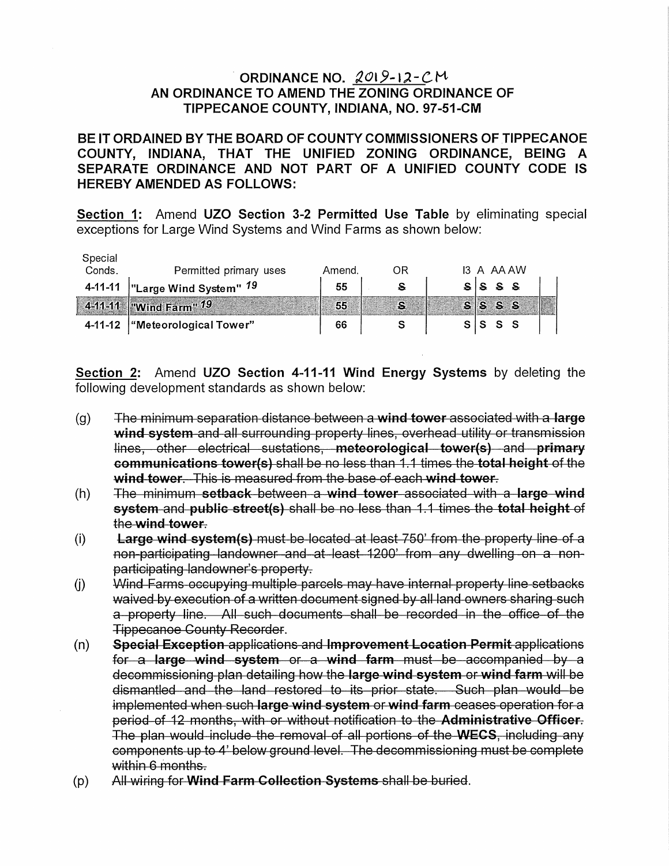## ORDINANCE NO.  $2019 - 12 - CM$ AN ORDINANCE TO AMEND THE ZONING ORDINANCE OF TIPPECANOE COUNTY, INDIANA, NO. 97-51-CM

BE IT ORDAINED BY THE BOARD OF COUNTY COMMISSIONERS OF TIPPECANOE COUNTY, INDIANA, THAT THE UNIFIED ZONING ORDINANCE, BEING A SEPARATE ORDINANCE AND NOT PART OF A UNIFIED COUNTY CODE IS **HEREBY AMENDED AS FOLLOWS:** 

Section 1: Amend UZO Section 3-2 Permitted Use Table by eliminating special exceptions for Large Wind Systems and Wind Farms as shown below:

|         | 4-11-12   "Meteorological Tower"   | 66     |    |  | $S \rvert S \rvert S \rvert S$ |            |  |
|---------|------------------------------------|--------|----|--|--------------------------------|------------|--|
|         | 4-11-11   Wind Farm" $19$          | 55     |    |  | $s$ $s$ $s$ $s$                |            |  |
|         | 4-11-11   "Large Wind System" $19$ | 55     |    |  | $2$ $2$ $3$ $ 2$               |            |  |
| Conds.  | Permitted primary uses             | Amend. | ΟR |  |                                | 13 A AA AW |  |
| Special |                                    |        |    |  |                                |            |  |

Section 2: Amend UZO Section 4-11-11 Wind Energy Systems by deleting the following development standards as shown below:

- The minimum separation distance between a wind tower associated with a large  $(g)$ wind system and all surrounding property lines, overhead utility or transmission lines, other electrical sustations, meteorological tower(s) and primary communications tower(s) shall be no less than 1.1 times the total height of the wind tower. This is measured from the base of each wind tower.
- $(h)$ The minimum setback between a wind tower associated with a large wind system and public street(s) shall be no less than 1.1 times the total height of the wind tower.
- Large wind system(s) must be located at least 750' from the property line of a  $(i)$ non-participating landowner and at least 1200' from any dwelling on a nonparticipating landowner's property.
- Wind Farms occupying multiple parcels may have internal property line setbacks  $(i)$ waived by execution of a written document signed by all land owners sharing such a property line. All such documents shall be recorded in the office of the **Tippecanoe County Recorder.**
- Special Exception applications and Improvement Location Permit applications  $(n)$ for a large wind system or a wind farm must be accompanied by a decommissioning plan detailing how the large wind system or wind farm will be dismantled and the land restored to its prior state. Such plan would be implemented when such large wind system or wind farm ceases operation for a period of 12 months, with or without notification to the Administrative Officer. The plan would include the removal of all portions of the WECS, including any components up to 4' below ground level. The decommissioning must be complete within 6 months.
- All wiring for Wind Farm Collection Systems shall be buried.  $(p)$